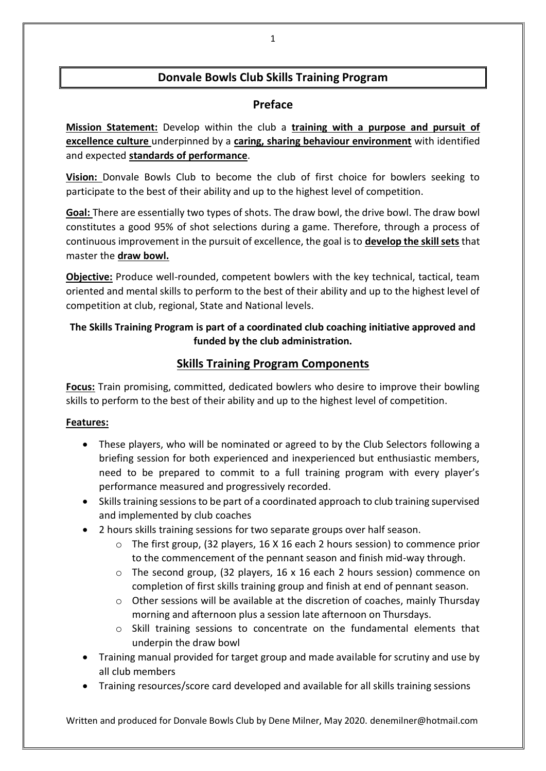## **Donvale Bowls Club Skills Training Program**

### **Preface**

**Mission Statement:** Develop within the club a **training with a purpose and pursuit of excellence culture** underpinned by a **caring, sharing behaviour environment** with identified and expected **standards of performance**.

**Vision:** Donvale Bowls Club to become the club of first choice for bowlers seeking to participate to the best of their ability and up to the highest level of competition.

**Goal:** There are essentially two types of shots. The draw bowl, the drive bowl. The draw bowl constitutes a good 95% of shot selections during a game. Therefore, through a process of continuous improvement in the pursuit of excellence, the goal is to **develop the skill sets** that master the **draw bowl.**

**Objective:** Produce well-rounded, competent bowlers with the key technical, tactical, team oriented and mental skills to perform to the best of their ability and up to the highest level of competition at club, regional, State and National levels.

## **The Skills Training Program is part of a coordinated club coaching initiative approved and funded by the club administration.**

## **Skills Training Program Components**

**Focus:** Train promising, committed, dedicated bowlers who desire to improve their bowling skills to perform to the best of their ability and up to the highest level of competition.

#### **Features:**

- These players, who will be nominated or agreed to by the Club Selectors following a briefing session for both experienced and inexperienced but enthusiastic members, need to be prepared to commit to a full training program with every player's performance measured and progressively recorded.
- Skills training sessions to be part of a coordinated approach to club training supervised and implemented by club coaches
- 2 hours skills training sessions for two separate groups over half season.
	- $\circ$  The first group, (32 players, 16 X 16 each 2 hours session) to commence prior to the commencement of the pennant season and finish mid-way through.
	- $\circ$  The second group, (32 players, 16 x 16 each 2 hours session) commence on completion of first skills training group and finish at end of pennant season.
	- $\circ$  Other sessions will be available at the discretion of coaches, mainly Thursday morning and afternoon plus a session late afternoon on Thursdays.
	- o Skill training sessions to concentrate on the fundamental elements that underpin the draw bowl
- Training manual provided for target group and made available for scrutiny and use by all club members
- Training resources/score card developed and available for all skills training sessions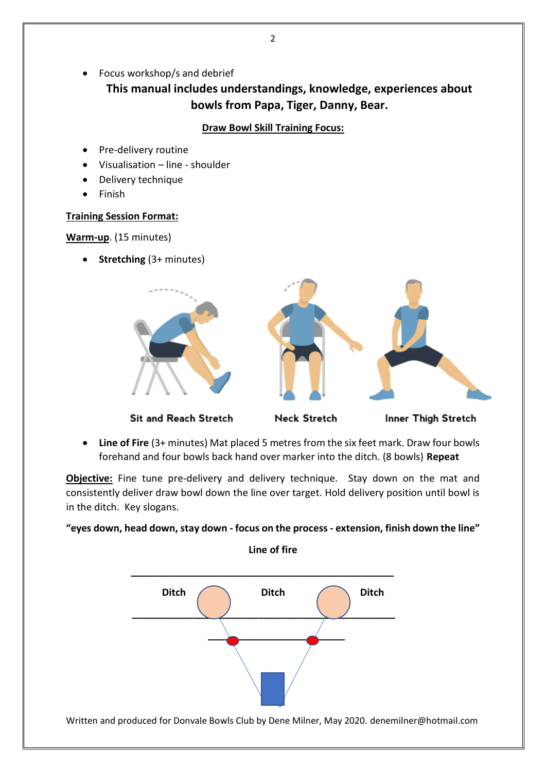• Focus workshop/s and debrief

**This manual includes understandings, knowledge, experiences about bowls from Papa, Tiger, Danny, Bear.**

#### **Draw Bowl Skill Training Focus:**

- Pre-delivery routine
- Visualisation line shoulder
- Delivery technique
- Finish

#### **Training Session Format:**

**Warm-up**. (15 minutes)

• **Stretching** (3+ minutes)



Sit and Reach Stretch

**Neck Stretch** 

Inner Thigh Stretch

• **Line of Fire** (3+ minutes) Mat placed 5 metres from the six feet mark. Draw four bowls forehand and four bowls back hand over marker into the ditch. (8 bowls) **Repeat**

**Objective:** Fine tune pre-delivery and delivery technique. Stay down on the mat and consistently deliver draw bowl down the line over target. Hold delivery position until bowl is in the ditch. Key slogans.

#### **"eyes down, head down, stay down - focus on the process - extension, finish down the line"**

**Line of fire**

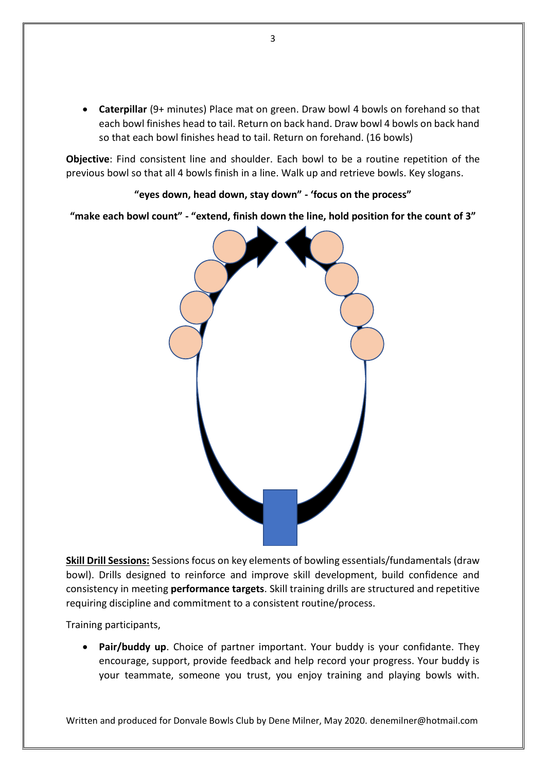• **Caterpillar** (9+ minutes) Place mat on green. Draw bowl 4 bowls on forehand so that each bowl finishes head to tail. Return on back hand. Draw bowl 4 bowls on back hand so that each bowl finishes head to tail. Return on forehand. (16 bowls)

**Objective**: Find consistent line and shoulder. Each bowl to be a routine repetition of the previous bowl so that all 4 bowls finish in a line. Walk up and retrieve bowls. Key slogans.

**"eyes down, head down, stay down" - 'focus on the process"**

**"make each bowl count" - "extend, finish down the line, hold position for the count of 3"**



**Skill Drill Sessions:** Sessions focus on key elements of bowling essentials/fundamentals (draw bowl). Drills designed to reinforce and improve skill development, build confidence and consistency in meeting **performance targets**. Skill training drills are structured and repetitive requiring discipline and commitment to a consistent routine/process.

Training participants,

• **Pair/buddy up**. Choice of partner important. Your buddy is your confidante. They encourage, support, provide feedback and help record your progress. Your buddy is your teammate, someone you trust, you enjoy training and playing bowls with.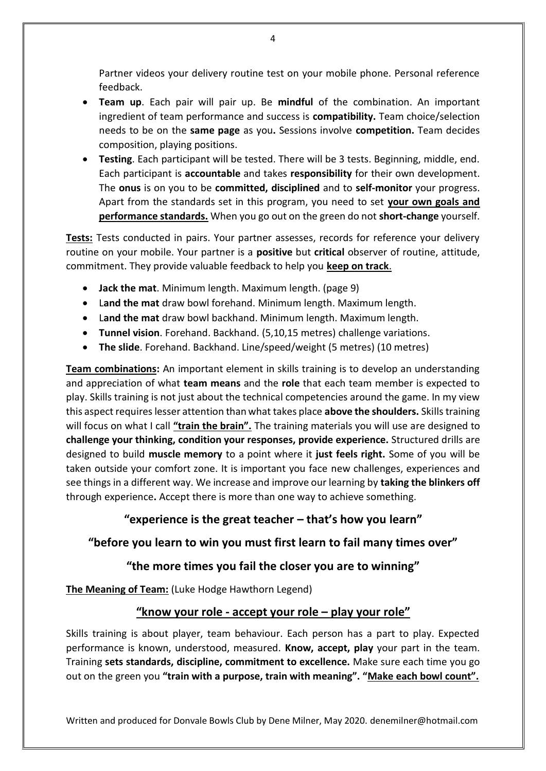Partner videos your delivery routine test on your mobile phone. Personal reference feedback.

- **Team up**. Each pair will pair up. Be **mindful** of the combination. An important ingredient of team performance and success is **compatibility.** Team choice/selection needs to be on the **same page** as you**.** Sessions involve **competition.** Team decides composition, playing positions.
- **Testing**. Each participant will be tested. There will be 3 tests. Beginning, middle, end. Each participant is **accountable** and takes **responsibility** for their own development. The **onus** is on you to be **committed, disciplined** and to **self-monitor** your progress. Apart from the standards set in this program, you need to set **your own goals and performance standards.** When you go out on the green do not **short-change** yourself.

**Tests:** Tests conducted in pairs. Your partner assesses, records for reference your delivery routine on your mobile. Your partner is a **positive** but **critical** observer of routine, attitude, commitment. They provide valuable feedback to help you **keep on track**.

- **Jack the mat**. Minimum length. Maximum length. (page 9)
- L**and the mat** draw bowl forehand. Minimum length. Maximum length.
- L**and the mat** draw bowl backhand. Minimum length. Maximum length.
- **Tunnel vision**. Forehand. Backhand. (5,10,15 metres) challenge variations.
- **The slide**. Forehand. Backhand. Line/speed/weight (5 metres) (10 metres)

**Team combinations:** An important element in skills training is to develop an understanding and appreciation of what **team means** and the **role** that each team member is expected to play. Skills training is not just about the technical competencies around the game. In my view this aspect requires lesser attention than what takes place **above the shoulders.** Skills training will focus on what I call **"train the brain".** The training materials you will use are designed to **challenge your thinking, condition your responses, provide experience.** Structured drills are designed to build **muscle memory** to a point where it **just feels right.** Some of you will be taken outside your comfort zone. It is important you face new challenges, experiences and see things in a different way. We increase and improve our learning by **taking the blinkers off**  through experience**.** Accept there is more than one way to achieve something.

#### **"experience is the great teacher – that's how you learn"**

#### **"before you learn to win you must first learn to fail many times over"**

#### **"the more times you fail the closer you are to winning"**

**The Meaning of Team:** (Luke Hodge Hawthorn Legend)

#### **"know your role - accept your role – play your role"**

Skills training is about player, team behaviour. Each person has a part to play. Expected performance is known, understood, measured. **Know, accept, play** your part in the team. Training **sets standards, discipline, commitment to excellence.** Make sure each time you go out on the green you **"train with a purpose, train with meaning". "Make each bowl count".**

Written and produced for Donvale Bowls Club by Dene Milner, May 2020. denemilner@hotmail.com

4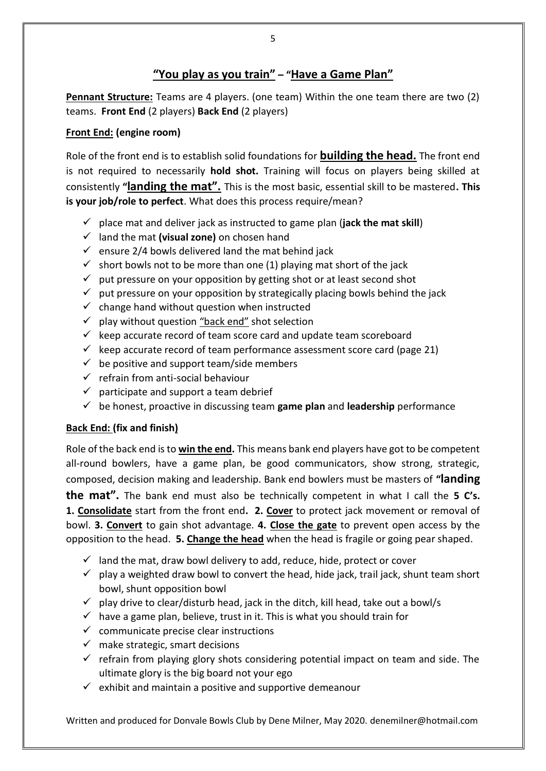## **"You play as you train" – "Have a Game Plan"**

**Pennant Structure:** Teams are 4 players. (one team) Within the one team there are two (2) teams. **Front End** (2 players) **Back End** (2 players)

#### **Front End: (engine room)**

Role of the front end is to establish solid foundations for **building the head.** The front end is not required to necessarily **hold shot.** Training will focus on players being skilled at consistently **"landing the mat".** This is the most basic, essential skill to be mastered**. This is your job/role to perfect**. What does this process require/mean?

- $\checkmark$  place mat and deliver jack as instructed to game plan (**jack the mat skill**)
- ✓ land the mat **(visual zone)** on chosen hand
- $\checkmark$  ensure 2/4 bowls delivered land the mat behind jack
- $\checkmark$  short bowls not to be more than one (1) playing mat short of the jack
- $\checkmark$  put pressure on your opposition by getting shot or at least second shot
- $\checkmark$  put pressure on your opposition by strategically placing bowls behind the jack
- $\checkmark$  change hand without question when instructed
- $\checkmark$  play without question "back end" shot selection
- $\checkmark$  keep accurate record of team score card and update team scoreboard
- $\checkmark$  keep accurate record of team performance assessment score card (page 21)
- $\checkmark$  be positive and support team/side members
- $\checkmark$  refrain from anti-social behaviour
- $\checkmark$  participate and support a team debrief
- ✓ be honest, proactive in discussing team **game plan** and **leadership** performance

#### **Back End: (fix and finish)**

Role of the back end is to **win the end.** This means bank end players have got to be competent all-round bowlers, have a game plan, be good communicators, show strong, strategic, composed, decision making and leadership. Bank end bowlers must be masters of **"landing the mat".** The bank end must also be technically competent in what I call the **5 C's. 1. Consolidate** start from the front end**. 2. Cover** to protect jack movement or removal of bowl. **3. Convert** to gain shot advantage. **4. Close the gate** to prevent open access by the opposition to the head. **5. Change the head** when the head is fragile or going pear shaped.

- $\checkmark$  land the mat, draw bowl delivery to add, reduce, hide, protect or cover
- $\checkmark$  play a weighted draw bowl to convert the head, hide jack, trail jack, shunt team short bowl, shunt opposition bowl
- $\checkmark$  play drive to clear/disturb head, jack in the ditch, kill head, take out a bowl/s
- $\checkmark$  have a game plan, believe, trust in it. This is what you should train for
- $\checkmark$  communicate precise clear instructions
- $\checkmark$  make strategic, smart decisions
- $\checkmark$  refrain from playing glory shots considering potential impact on team and side. The ultimate glory is the big board not your ego
- $\checkmark$  exhibit and maintain a positive and supportive demeanour

Written and produced for Donvale Bowls Club by Dene Milner, May 2020. denemilner@hotmail.com

5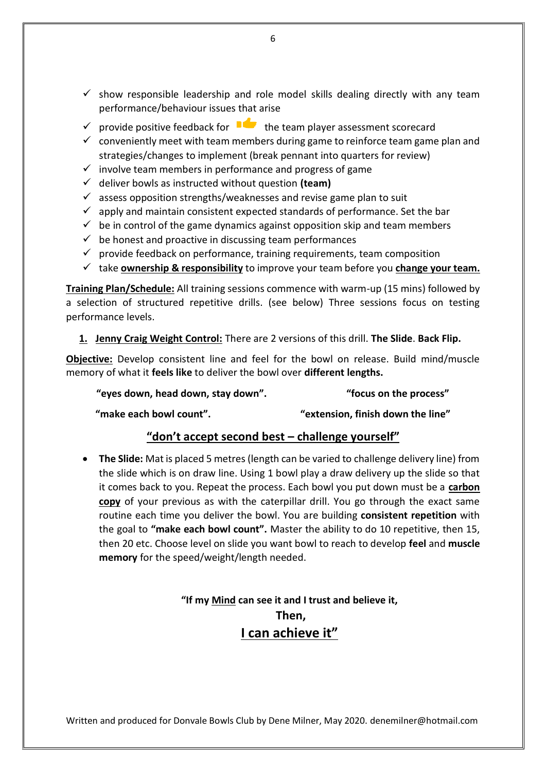- $\checkmark$  show responsible leadership and role model skills dealing directly with any team performance/behaviour issues that arise
- $\checkmark$  provide positive feedback for  $\checkmark$  the team player assessment scorecard
- $\checkmark$  conveniently meet with team members during game to reinforce team game plan and strategies/changes to implement (break pennant into quarters for review)
- $\checkmark$  involve team members in performance and progress of game
- ✓ deliver bowls as instructed without question **(team)**
- $\checkmark$  assess opposition strengths/weaknesses and revise game plan to suit
- $\checkmark$  apply and maintain consistent expected standards of performance. Set the bar
- $\checkmark$  be in control of the game dynamics against opposition skip and team members
- $\checkmark$  be honest and proactive in discussing team performances
- $\checkmark$  provide feedback on performance, training requirements, team composition
- ✓ take **ownership & responsibility** to improve your team before you **change your team.**

**Training Plan/Schedule:** All training sessions commence with warm-up (15 mins) followed by a selection of structured repetitive drills. (see below) Three sessions focus on testing performance levels.

**1. Jenny Craig Weight Control:** There are 2 versions of this drill. **The Slide**. **Back Flip.**

**Objective:** Develop consistent line and feel for the bowl on release. Build mind/muscle memory of what it **feels like** to deliver the bowl over **different lengths.** 

**"eyes down, head down, stay down". "focus on the process"**

**"make each bowl count". "extension, finish down the line"**

#### **"don't accept second best – challenge yourself"**

• **The Slide:** Mat is placed 5 metres (length can be varied to challenge delivery line) from the slide which is on draw line. Using 1 bowl play a draw delivery up the slide so that it comes back to you. Repeat the process. Each bowl you put down must be a **carbon copy** of your previous as with the caterpillar drill. You go through the exact same routine each time you deliver the bowl. You are building **consistent repetition** with the goal to **"make each bowl count".** Master the ability to do 10 repetitive, then 15, then 20 etc. Choose level on slide you want bowl to reach to develop **feel** and **muscle memory** for the speed/weight/length needed.

> **"If my Mind can see it and I trust and believe it, Then, I can achieve it"**

Written and produced for Donvale Bowls Club by Dene Milner, May 2020. denemilner@hotmail.com

6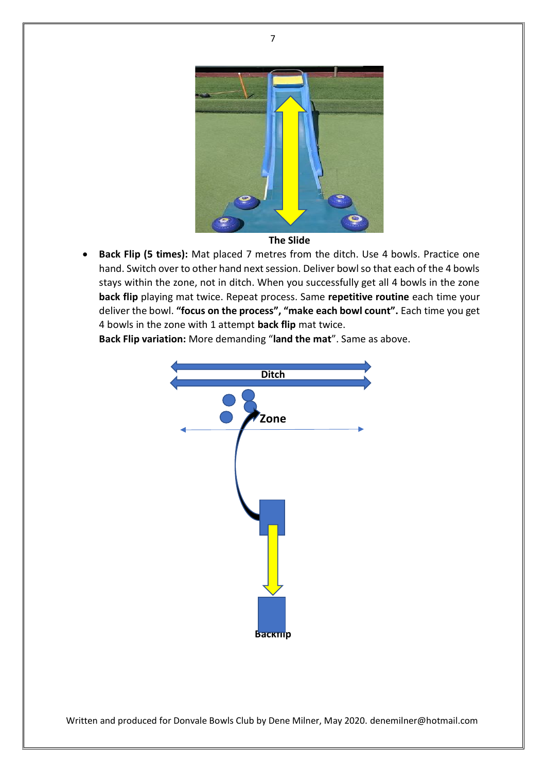

- **The Slide**
- **Back Flip (5 times):** Mat placed 7 metres from the ditch. Use 4 bowls. Practice one hand. Switch over to other hand next session. Deliver bowl so that each of the 4 bowls stays within the zone, not in ditch. When you successfully get all 4 bowls in the zone **back flip** playing mat twice. Repeat process. Same **repetitive routine** each time your deliver the bowl. **"focus on the process", "make each bowl count".** Each time you get 4 bowls in the zone with 1 attempt **back flip** mat twice.

**Back Flip variation:** More demanding "**land the mat**". Same as above.

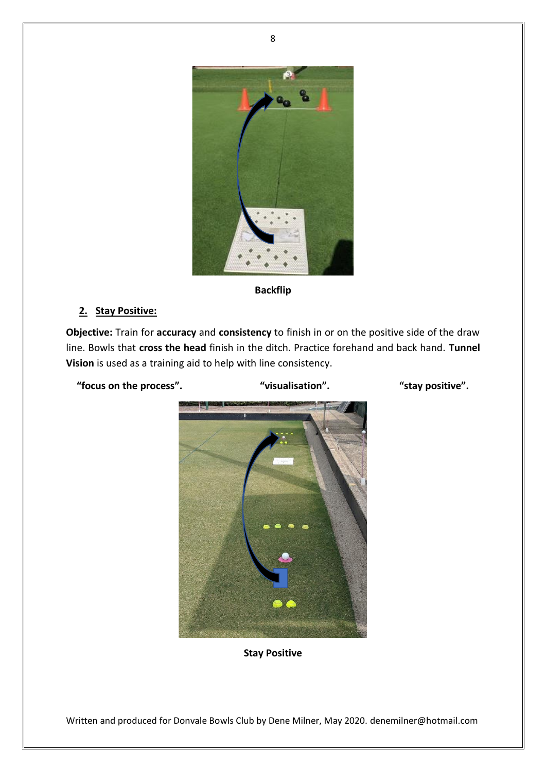

#### **Backflip**

#### **2. Stay Positive:**

**Objective:** Train for **accuracy** and **consistency** to finish in or on the positive side of the draw line. Bowls that **cross the head** finish in the ditch. Practice forehand and back hand. **Tunnel Vision** is used as a training aid to help with line consistency.

**"focus on the process". "visualisation". "stay positive".**



**Stay Positive**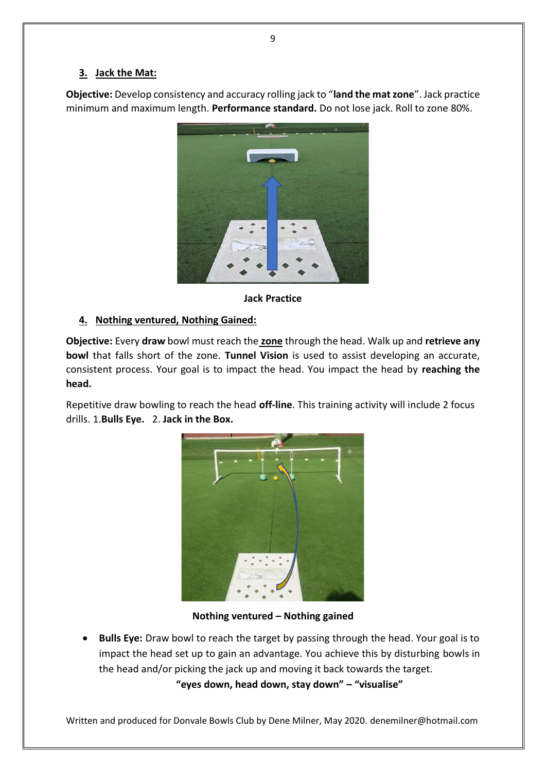#### **3. Jack the Mat:**

**Objective:** Develop consistency and accuracy rolling jack to "**land the mat zone**". Jack practice minimum and maximum length. **Performance standard.** Do not lose jack. Roll to zone 80%.



**Jack Practice**

#### **4. Nothing ventured, Nothing Gained:**

**Objective:** Every **draw** bowl must reach the **zone** through the head. Walk up and **retrieve any bowl** that falls short of the zone. **Tunnel Vision** is used to assist developing an accurate, consistent process. Your goal is to impact the head. You impact the head by **reaching the head.**

Repetitive draw bowling to reach the head **off-line**. This training activity will include 2 focus drills. 1.**Bulls Eye.** 2. **Jack in the Box.**



**Nothing ventured – Nothing gained**

• **Bulls Eye:** Draw bowl to reach the target by passing through the head. Your goal is to impact the head set up to gain an advantage. You achieve this by disturbing bowls in the head and/or picking the jack up and moving it back towards the target.

**"eyes down, head down, stay down" – "visualise"**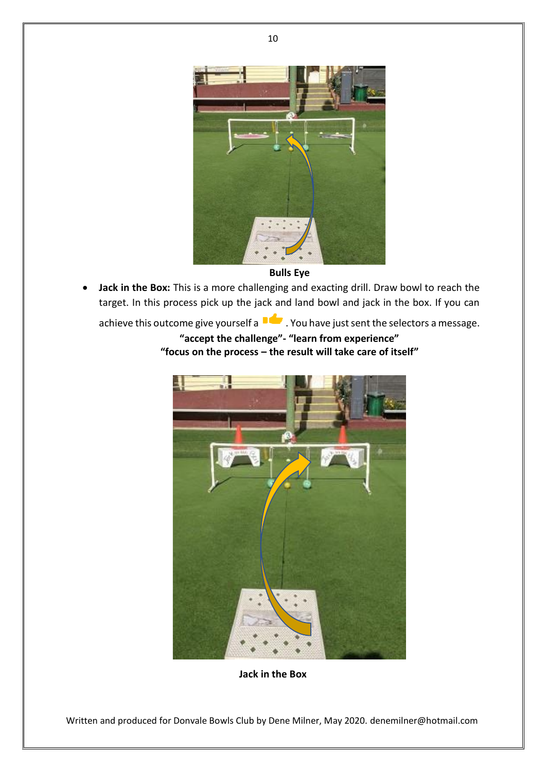

**Bulls Eye**

• **Jack in the Box:** This is a more challenging and exacting drill. Draw bowl to reach the target. In this process pick up the jack and land bowl and jack in the box. If you can

achieve this outcome give yourself a  $\blacksquare$ . You have just sent the selectors a message.

### **"accept the challenge"- "learn from experience" "focus on the process – the result will take care of itself"**



**Jack in the Box**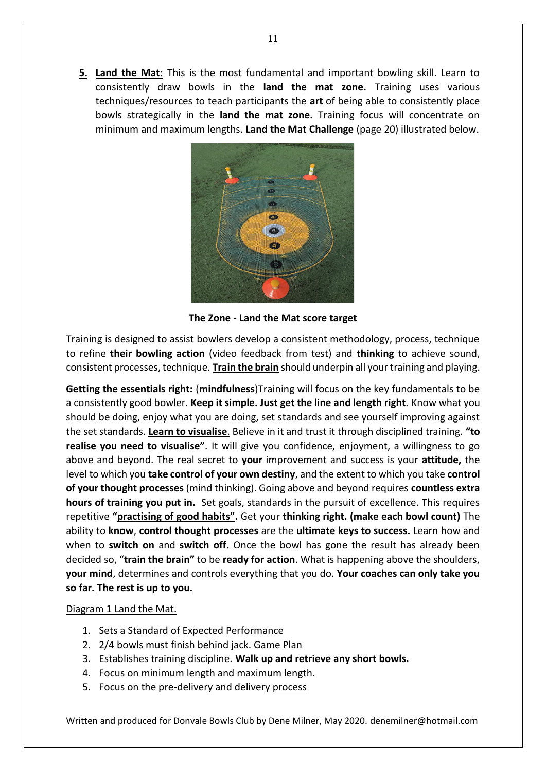**5. Land the Mat:** This is the most fundamental and important bowling skill. Learn to consistently draw bowls in the **land the mat zone.** Training uses various techniques/resources to teach participants the **art** of being able to consistently place bowls strategically in the **land the mat zone.** Training focus will concentrate on minimum and maximum lengths. **Land the Mat Challenge** (page 20) illustrated below.



**The Zone - Land the Mat score target**

Training is designed to assist bowlers develop a consistent methodology, process, technique to refine **their bowling action** (video feedback from test) and **thinking** to achieve sound, consistent processes, technique. **Train the brain** should underpin all your training and playing.

**Getting the essentials right:** (**mindfulness**)Training will focus on the key fundamentals to be a consistently good bowler. **Keep it simple. Just get the line and length right.** Know what you should be doing, enjoy what you are doing, set standards and see yourself improving against the set standards. **Learn to visualise**. Believe in it and trust it through disciplined training. **"to realise you need to visualise"**. It will give you confidence, enjoyment, a willingness to go above and beyond. The real secret to **your** improvement and success is your **attitude,** the level to which you **take control of your own destiny**, and the extent to which you take **control of your thought processes** (mind thinking). Going above and beyond requires **countless extra hours of training you put in.** Set goals, standards in the pursuit of excellence. This requires repetitive **"practising of good habits".** Get your **thinking right. (make each bowl count)** The ability to **know**, **control thought processes** are the **ultimate keys to success.** Learn how and when to **switch on** and **switch off.** Once the bowl has gone the result has already been decided so, "**train the brain"** to be **ready for action**. What is happening above the shoulders, **your mind**, determines and controls everything that you do. **Your coaches can only take you so far. The rest is up to you.**

#### Diagram 1 Land the Mat.

- 1. Sets a Standard of Expected Performance
- 2. 2/4 bowls must finish behind jack. Game Plan
- 3. Establishes training discipline. **Walk up and retrieve any short bowls.**
- 4. Focus on minimum length and maximum length.
- 5. Focus on the pre-delivery and delivery process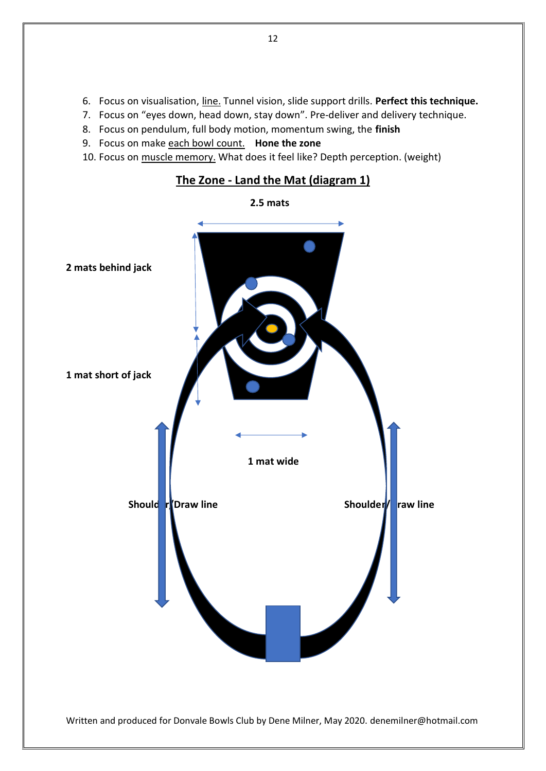- 6. Focus on visualisation, line. Tunnel vision, slide support drills. **Perfect this technique.**
- 7. Focus on "eyes down, head down, stay down". Pre-deliver and delivery technique.
- 8. Focus on pendulum, full body motion, momentum swing, the **finish**
- 9. Focus on make each bowl count. **Hone the zone**
- 10. Focus on muscle memory. What does it feel like? Depth perception. (weight)



## **The Zone - Land the Mat (diagram 1)**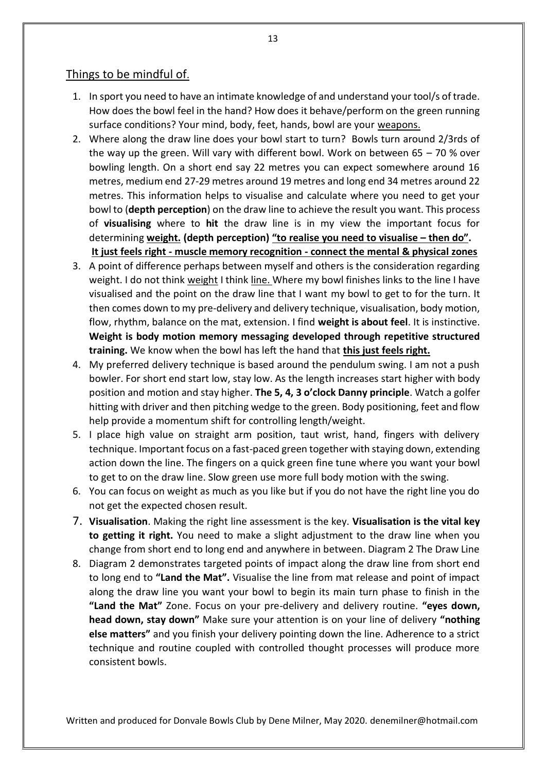#### Things to be mindful of.

- 1. In sport you need to have an intimate knowledge of and understand your tool/s of trade. How does the bowl feel in the hand? How does it behave/perform on the green running surface conditions? Your mind, body, feet, hands, bowl are your weapons.
- 2. Where along the draw line does your bowl start to turn? Bowls turn around 2/3rds of the way up the green. Will vary with different bowl. Work on between  $65 - 70$  % over bowling length. On a short end say 22 metres you can expect somewhere around 16 metres, medium end 27-29 metres around 19 metres and long end 34 metres around 22 metres. This information helps to visualise and calculate where you need to get your bowl to (**depth perception**) on the draw line to achieve the result you want. This process of **visualising** where to **hit** the draw line is in my view the important focus for determining **weight. (depth perception) "to realise you need to visualise – then do". It just feels right - muscle memory recognition - connect the mental & physical zones**
- 3. A point of difference perhaps between myself and others is the consideration regarding weight. I do not think weight I think line. Where my bowl finishes links to the line I have visualised and the point on the draw line that I want my bowl to get to for the turn. It then comes down to my pre-delivery and delivery technique, visualisation, body motion, flow, rhythm, balance on the mat, extension. I find **weight is about feel**. It is instinctive. **Weight is body motion memory messaging developed through repetitive structured training.** We know when the bowl has left the hand that **this just feels right.**
- 4. My preferred delivery technique is based around the pendulum swing. I am not a push bowler. For short end start low, stay low. As the length increases start higher with body position and motion and stay higher. **The 5, 4, 3 o'clock Danny principle**. Watch a golfer hitting with driver and then pitching wedge to the green. Body positioning, feet and flow help provide a momentum shift for controlling length/weight.
- 5. I place high value on straight arm position, taut wrist, hand, fingers with delivery technique. Important focus on a fast-paced green together with staying down, extending action down the line. The fingers on a quick green fine tune where you want your bowl to get to on the draw line. Slow green use more full body motion with the swing.
- 6. You can focus on weight as much as you like but if you do not have the right line you do not get the expected chosen result.
- 7. **Visualisation**. Making the right line assessment is the key. **Visualisation is the vital key to getting it right.** You need to make a slight adjustment to the draw line when you change from short end to long end and anywhere in between. Diagram 2 The Draw Line
- 8. Diagram 2 demonstrates targeted points of impact along the draw line from short end to long end to **"Land the Mat".** Visualise the line from mat release and point of impact along the draw line you want your bowl to begin its main turn phase to finish in the **"Land the Mat"** Zone. Focus on your pre-delivery and delivery routine. **"eyes down, head down, stay down"** Make sure your attention is on your line of delivery **"nothing else matters"** and you finish your delivery pointing down the line. Adherence to a strict technique and routine coupled with controlled thought processes will produce more consistent bowls.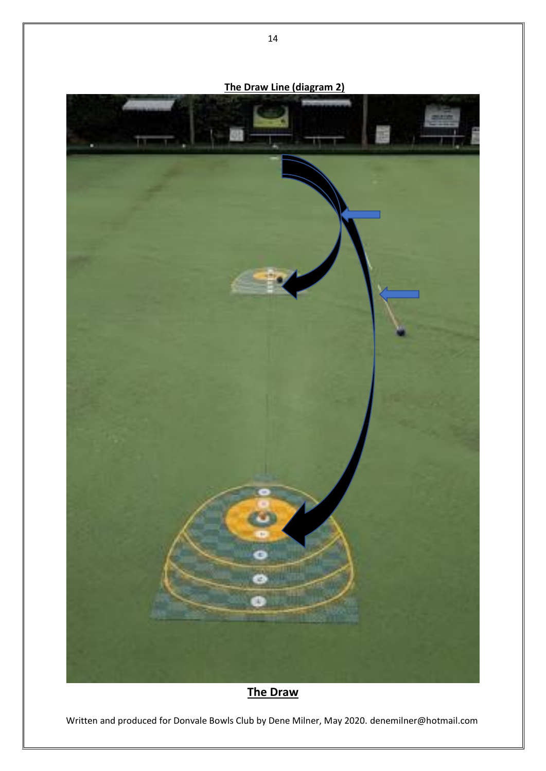

## **The Draw**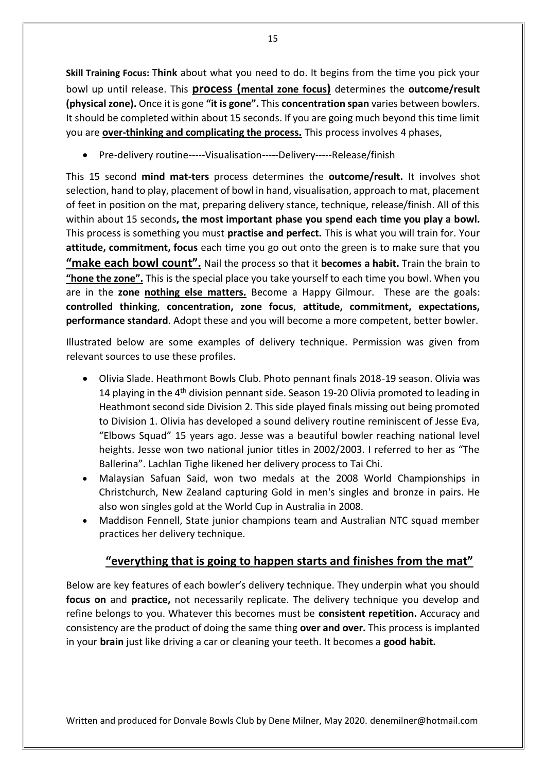**Skill Training Focus:** T**hink** about what you need to do. It begins from the time you pick your bowl up until release. This **process (mental zone focus)** determines the **outcome/result (physical zone).** Once it is gone **"it is gone".** This **concentration span** varies between bowlers. It should be completed within about 15 seconds. If you are going much beyond this time limit you are **over-thinking and complicating the process.** This process involves 4 phases,

• Pre-delivery routine-----Visualisation-----Delivery-----Release/finish

This 15 second **mind mat-ters** process determines the **outcome/result.** It involves shot selection, hand to play, placement of bowl in hand, visualisation, approach to mat, placement of feet in position on the mat, preparing delivery stance, technique, release/finish. All of this within about 15 seconds**, the most important phase you spend each time you play a bowl.** This process is something you must **practise and perfect.** This is what you will train for. Your **attitude, commitment, focus** each time you go out onto the green is to make sure that you **"make each bowl count".** Nail the process so that it **becomes a habit.** Train the brain to **"hone the zone".** This is the special place you take yourself to each time you bowl. When you are in the **zone nothing else matters.** Become a Happy Gilmour. These are the goals: **controlled thinking**, **concentration, zone focus**, **attitude, commitment, expectations, performance standard**. Adopt these and you will become a more competent, better bowler.

Illustrated below are some examples of delivery technique. Permission was given from relevant sources to use these profiles.

- Olivia Slade. Heathmont Bowls Club. Photo pennant finals 2018-19 season. Olivia was 14 playing in the  $4<sup>th</sup>$  division pennant side. Season 19-20 Olivia promoted to leading in Heathmont second side Division 2. This side played finals missing out being promoted to Division 1. Olivia has developed a sound delivery routine reminiscent of Jesse Eva, "Elbows Squad" 15 years ago. Jesse was a beautiful bowler reaching national level heights. Jesse won two national junior titles in 2002/2003. I referred to her as "The Ballerina". Lachlan Tighe likened her delivery process to Tai Chi.
- Malaysian Safuan Said, won two medals at the 2008 World Championships in Christchurch, New Zealand capturing Gold in men's singles and bronze in pairs. He also won singles gold at the World Cup in Australia in 2008.
- Maddison Fennell, State junior champions team and Australian NTC squad member practices her delivery technique.

## **"everything that is going to happen starts and finishes from the mat"**

Below are key features of each bowler's delivery technique. They underpin what you should **focus on** and **practice,** not necessarily replicate. The delivery technique you develop and refine belongs to you. Whatever this becomes must be **consistent repetition.** Accuracy and consistency are the product of doing the same thing **over and over.** This process is implanted in your **brain** just like driving a car or cleaning your teeth. It becomes a **good habit.**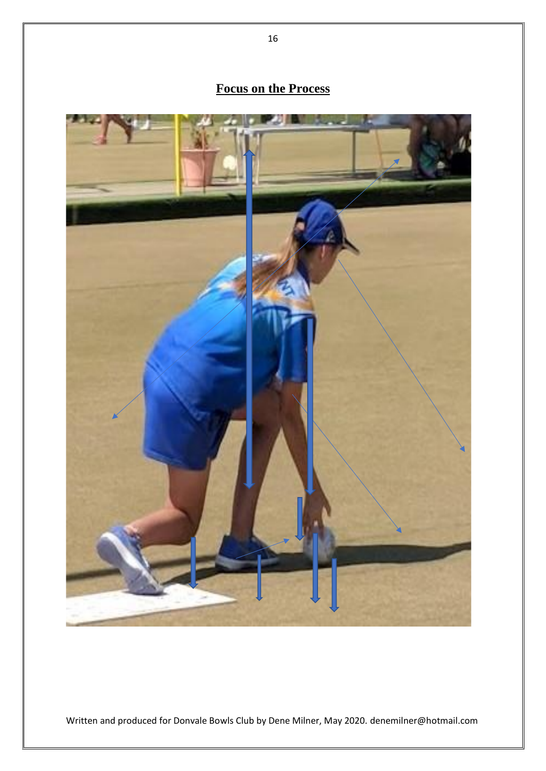# **Focus on the Process**

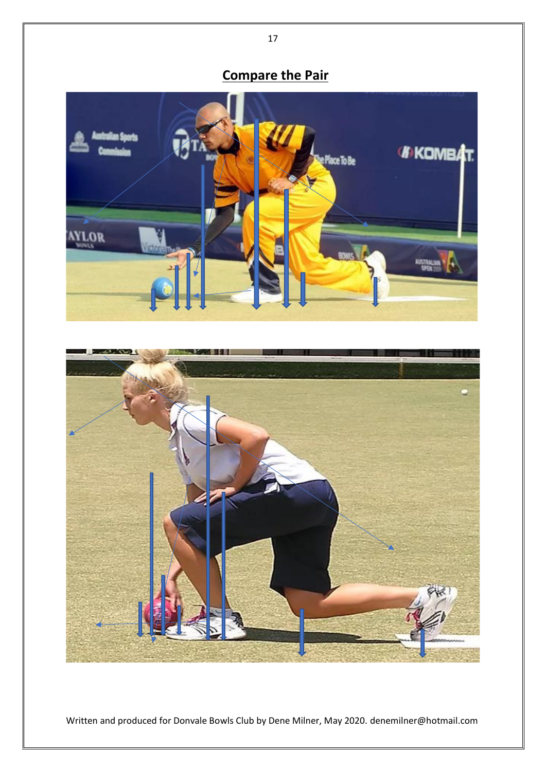# **Compare the Pair**



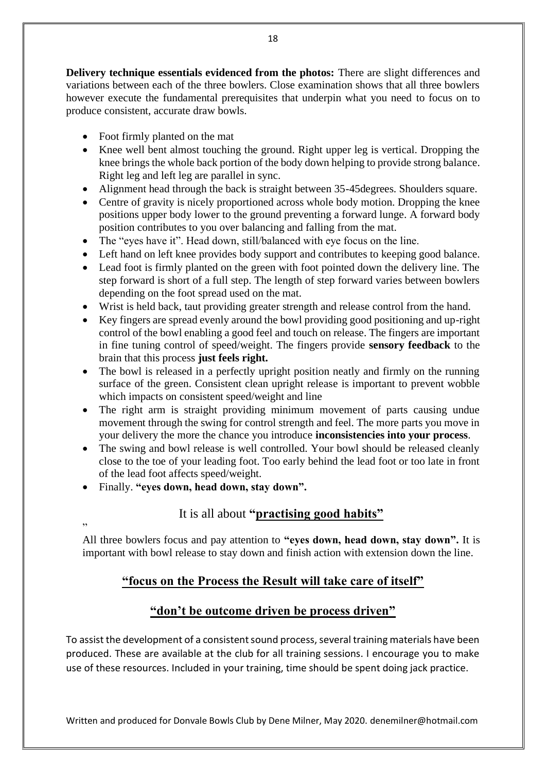**Delivery technique essentials evidenced from the photos:** There are slight differences and variations between each of the three bowlers. Close examination shows that all three bowlers however execute the fundamental prerequisites that underpin what you need to focus on to produce consistent, accurate draw bowls.

- Foot firmly planted on the mat
- Knee well bent almost touching the ground. Right upper leg is vertical. Dropping the knee brings the whole back portion of the body down helping to provide strong balance. Right leg and left leg are parallel in sync.
- Alignment head through the back is straight between 35-45 degrees. Shoulders square.
- Centre of gravity is nicely proportioned across whole body motion. Dropping the knee positions upper body lower to the ground preventing a forward lunge. A forward body position contributes to you over balancing and falling from the mat.
- The "eyes have it". Head down, still/balanced with eye focus on the line.
- Left hand on left knee provides body support and contributes to keeping good balance.
- Lead foot is firmly planted on the green with foot pointed down the delivery line. The step forward is short of a full step. The length of step forward varies between bowlers depending on the foot spread used on the mat.
- Wrist is held back, taut providing greater strength and release control from the hand.
- Key fingers are spread evenly around the bowl providing good positioning and up-right control of the bowl enabling a good feel and touch on release. The fingers are important in fine tuning control of speed/weight. The fingers provide **sensory feedback** to the brain that this process **just feels right.**
- The bowl is released in a perfectly upright position neatly and firmly on the running surface of the green. Consistent clean upright release is important to prevent wobble which impacts on consistent speed/weight and line
- The right arm is straight providing minimum movement of parts causing undue movement through the swing for control strength and feel. The more parts you move in your delivery the more the chance you introduce **inconsistencies into your process**.
- The swing and bowl release is well controlled. Your bowl should be released cleanly close to the toe of your leading foot. Too early behind the lead foot or too late in front of the lead foot affects speed/weight.
- Finally. **"eyes down, head down, stay down".**

#### It is all about **"practising good habits"**

" All three bowlers focus and pay attention to **"eyes down, head down, stay down".** It is important with bowl release to stay down and finish action with extension down the line.

## **"focus on the Process the Result will take care of itself"**

#### **"don't be outcome driven be process driven"**

To assist the development of a consistent sound process, several training materials have been produced. These are available at the club for all training sessions. I encourage you to make use of these resources. Included in your training, time should be spent doing jack practice.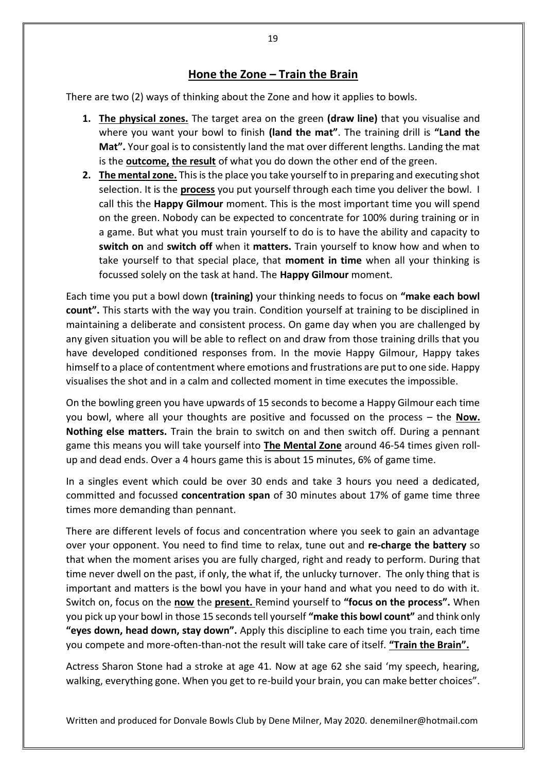#### **Hone the Zone – Train the Brain**

There are two (2) ways of thinking about the Zone and how it applies to bowls.

- **1. The physical zones.** The target area on the green **(draw line)** that you visualise and where you want your bowl to finish **(land the mat"**. The training drill is **"Land the Mat".** Your goal is to consistently land the mat over different lengths. Landing the mat is the **outcome, the result** of what you do down the other end of the green.
- **2. The mental zone.** This is the place you take yourself to in preparing and executing shot selection. It is the **process** you put yourself through each time you deliver the bowl. I call this the **Happy Gilmour** moment. This is the most important time you will spend on the green. Nobody can be expected to concentrate for 100% during training or in a game. But what you must train yourself to do is to have the ability and capacity to **switch on** and **switch off** when it **matters.** Train yourself to know how and when to take yourself to that special place, that **moment in time** when all your thinking is focussed solely on the task at hand. The **Happy Gilmour** moment.

Each time you put a bowl down **(training)** your thinking needs to focus on **"make each bowl count".** This starts with the way you train. Condition yourself at training to be disciplined in maintaining a deliberate and consistent process. On game day when you are challenged by any given situation you will be able to reflect on and draw from those training drills that you have developed conditioned responses from. In the movie Happy Gilmour, Happy takes himself to a place of contentment where emotions and frustrations are put to one side. Happy visualises the shot and in a calm and collected moment in time executes the impossible.

On the bowling green you have upwards of 15 seconds to become a Happy Gilmour each time you bowl, where all your thoughts are positive and focussed on the process – the **Now. Nothing else matters.** Train the brain to switch on and then switch off. During a pennant game this means you will take yourself into **The Mental Zone** around 46-54 times given rollup and dead ends. Over a 4 hours game this is about 15 minutes, 6% of game time.

In a singles event which could be over 30 ends and take 3 hours you need a dedicated, committed and focussed **concentration span** of 30 minutes about 17% of game time three times more demanding than pennant.

There are different levels of focus and concentration where you seek to gain an advantage over your opponent. You need to find time to relax, tune out and **re-charge the battery** so that when the moment arises you are fully charged, right and ready to perform. During that time never dwell on the past, if only, the what if, the unlucky turnover. The only thing that is important and matters is the bowl you have in your hand and what you need to do with it. Switch on, focus on the **now** the **present.** Remind yourself to **"focus on the process".** When you pick up your bowl in those 15 seconds tell yourself **"make this bowl count"** and think only **"eyes down, head down, stay down".** Apply this discipline to each time you train, each time you compete and more-often-than-not the result will take care of itself. **"Train the Brain".**

Actress Sharon Stone had a stroke at age 41. Now at age 62 she said 'my speech, hearing, walking, everything gone. When you get to re-build your brain, you can make better choices".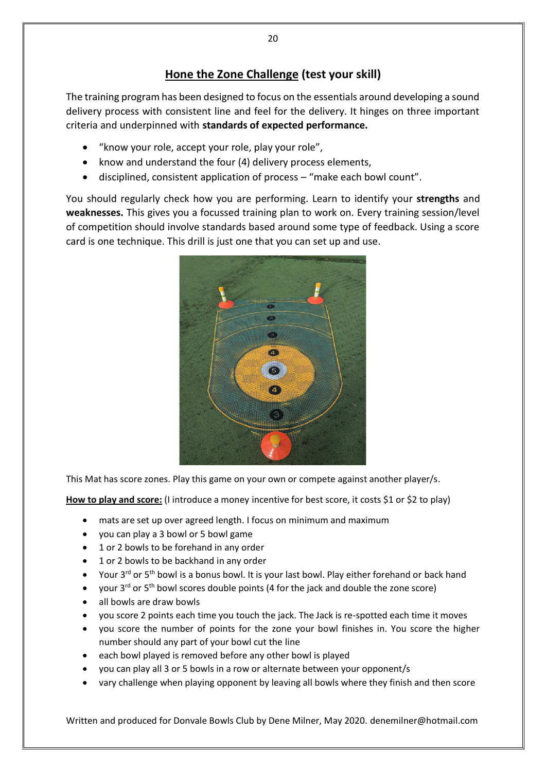## **Hone the Zone Challenge (test your skill)**

The training program has been designed to focus on the essentials around developing a sound delivery process with consistent line and feel for the delivery. It hinges on three important criteria and underpinned with **standards of expected performance.**

- "know your role, accept your role, play your role",
- know and understand the four (4) delivery process elements,
- disciplined, consistent application of process "make each bowl count".

You should regularly check how you are performing. Learn to identify your **strengths** and **weaknesses.** This gives you a focussed training plan to work on. Every training session/level of competition should involve standards based around some type of feedback. Using a score card is one technique. This drill is just one that you can set up and use.



This Mat has score zones. Play this game on your own or compete against another player/s.

**How to play and score:** (I introduce a money incentive for best score, it costs \$1 or \$2 to play)

- mats are set up over agreed length. I focus on minimum and maximum
- you can play a 3 bowl or 5 bowl game
- 1 or 2 bowls to be forehand in any order
- 1 or 2 bowls to be backhand in any order
- Your 3<sup>rd</sup> or 5<sup>th</sup> bowl is a bonus bowl. It is your last bowl. Play either forehand or back hand
- your  $3^{rd}$  or  $5^{th}$  bowl scores double points (4 for the jack and double the zone score)
- all bowls are draw bowls
- you score 2 points each time you touch the jack. The Jack is re-spotted each time it moves
- you score the number of points for the zone your bowl finishes in. You score the higher number should any part of your bowl cut the line
- each bowl played is removed before any other bowl is played
- you can play all 3 or 5 bowls in a row or alternate between your opponent/s
- vary challenge when playing opponent by leaving all bowls where they finish and then score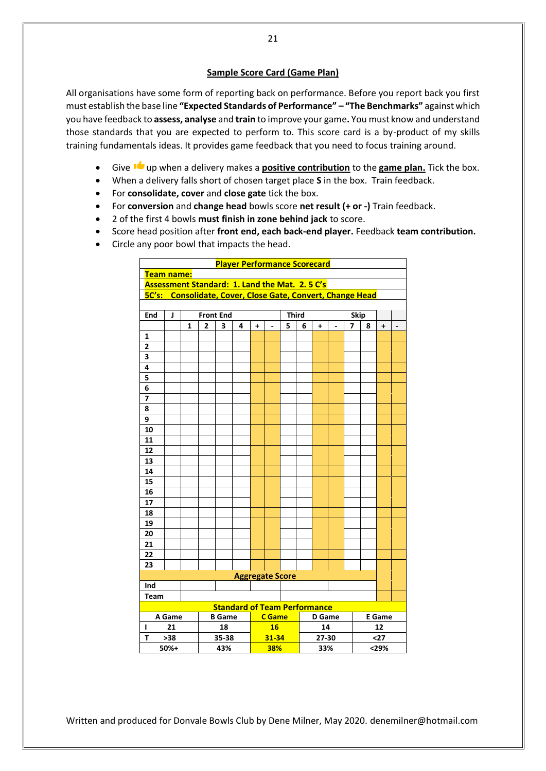#### **Sample Score Card (Game Plan)**

All organisations have some form of reporting back on performance. Before you report back you first must establish the base line **"Expected Standards of Performance" – "The Benchmarks"** against which you have feedback to **assess, analyse** and **train** to improve your game**.** You must know and understand those standards that you are expected to perform to. This score card is a by-product of my skills training fundamentals ideas. It provides game feedback that you need to focus training around.

- Give up when a delivery makes a **positive contribution** to the **game plan.** Tick the box.
- When a delivery falls short of chosen target place **S** in the box. Train feedback.
- For **consolidate, cover** and **close gate** tick the box.
- For **conversion** and **change head** bowls score **net result (+ or -)** Train feedback.
- 2 of the first 4 bowls **must finish in zone behind jack** to score.
- Score head position after **front end, each back-end player.** Feedback **team contribution.**
- Circle any poor bowl that impacts the head.